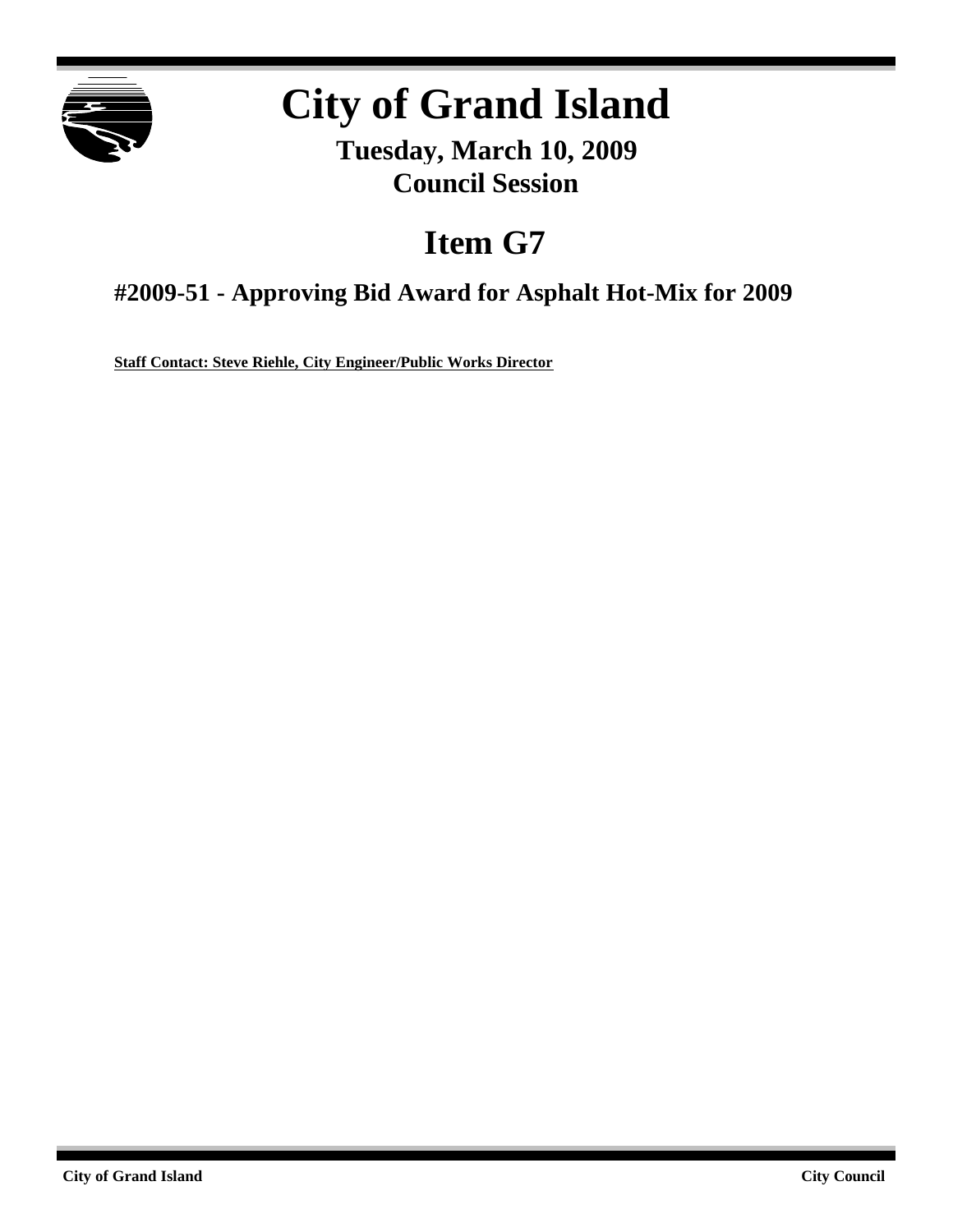

# **City of Grand Island**

**Tuesday, March 10, 2009 Council Session**

## **Item G7**

**#2009-51 - Approving Bid Award for Asphalt Hot-Mix for 2009**

**Staff Contact: Steve Riehle, City Engineer/Public Works Director**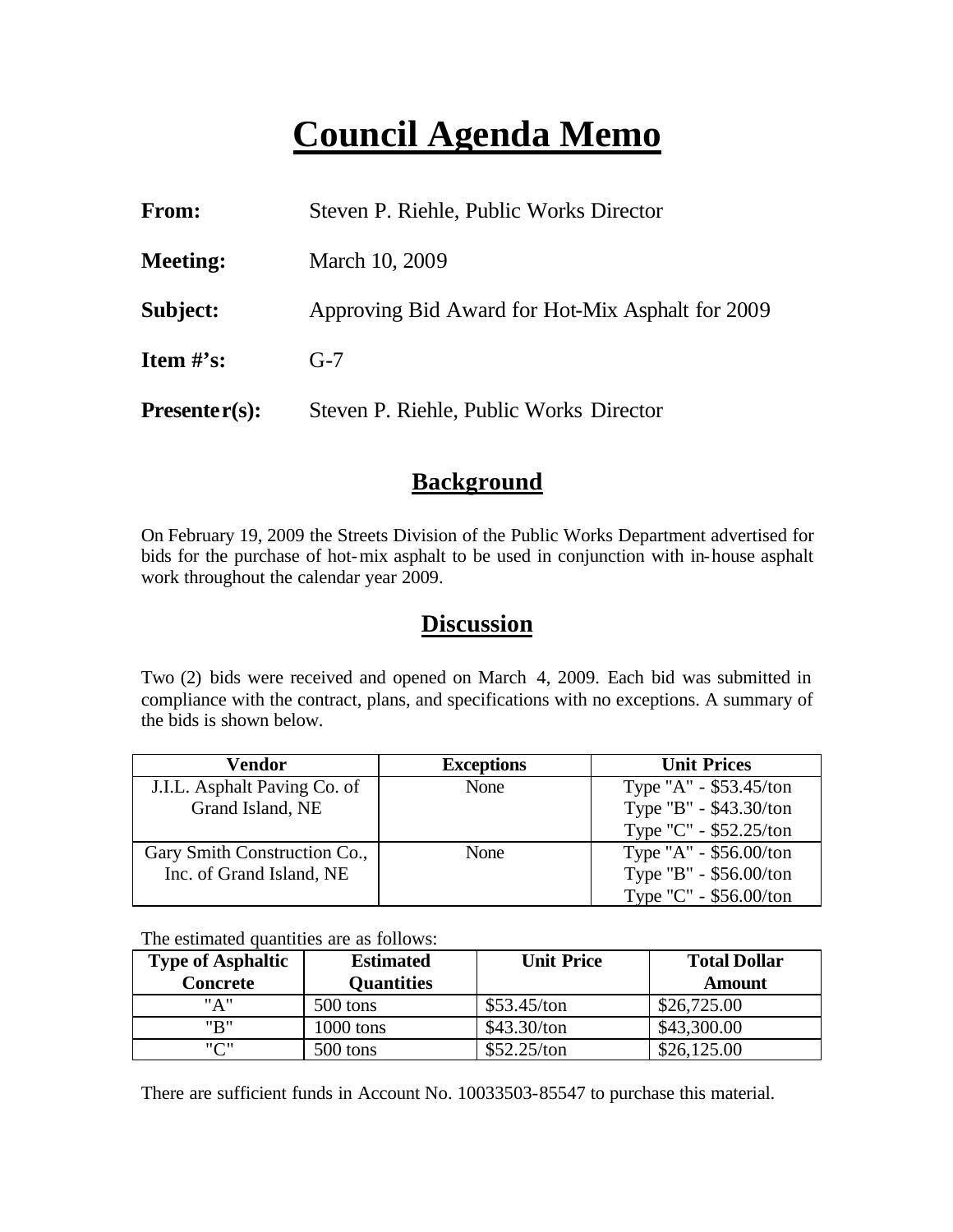## **Council Agenda Memo**

| From:           | Steven P. Riehle, Public Works Director          |
|-----------------|--------------------------------------------------|
| <b>Meeting:</b> | March 10, 2009                                   |
| Subject:        | Approving Bid Award for Hot-Mix Asphalt for 2009 |
| Item $\#$ 's:   | $G-7$                                            |
| $Presenter(s):$ | Steven P. Riehle, Public Works Director          |

#### **Background**

On February 19, 2009 the Streets Division of the Public Works Department advertised for bids for the purchase of hot-mix asphalt to be used in conjunction with in-house asphalt work throughout the calendar year 2009.

### **Discussion**

Two (2) bids were received and opened on March 4, 2009. Each bid was submitted in compliance with the contract, plans, and specifications with no exceptions. A summary of the bids is shown below.

| Vendor                       | <b>Exceptions</b> | <b>Unit Prices</b>     |
|------------------------------|-------------------|------------------------|
| J.I.L. Asphalt Paving Co. of | None              | Type "A" - \$53.45/ton |
| Grand Island, NE             |                   | Type "B" - \$43.30/ton |
|                              |                   | Type "C" - \$52.25/ton |
| Gary Smith Construction Co., | None              | Type "A" - \$56.00/ton |
| Inc. of Grand Island, NE     |                   | Type "B" - \$56.00/ton |
|                              |                   | Type "C" - \$56.00/ton |

The estimated quantities are as follows:

| <b>Type of Asphaltic</b> | <b>Estimated</b>  | <b>Unit Price</b> | <b>Total Dollar</b> |
|--------------------------|-------------------|-------------------|---------------------|
| Concrete                 | <b>Quantities</b> |                   | Amount              |
| " A "                    | 500 tons          | \$53.45/ton       | \$26,725.00         |
| "R"                      | $1000$ tons       | \$43.30/ton       | \$43,300.00         |
| "ר"                      | 500 tons          | \$52.25/ton       | \$26,125.00         |

There are sufficient funds in Account No. 10033503-85547 to purchase this material.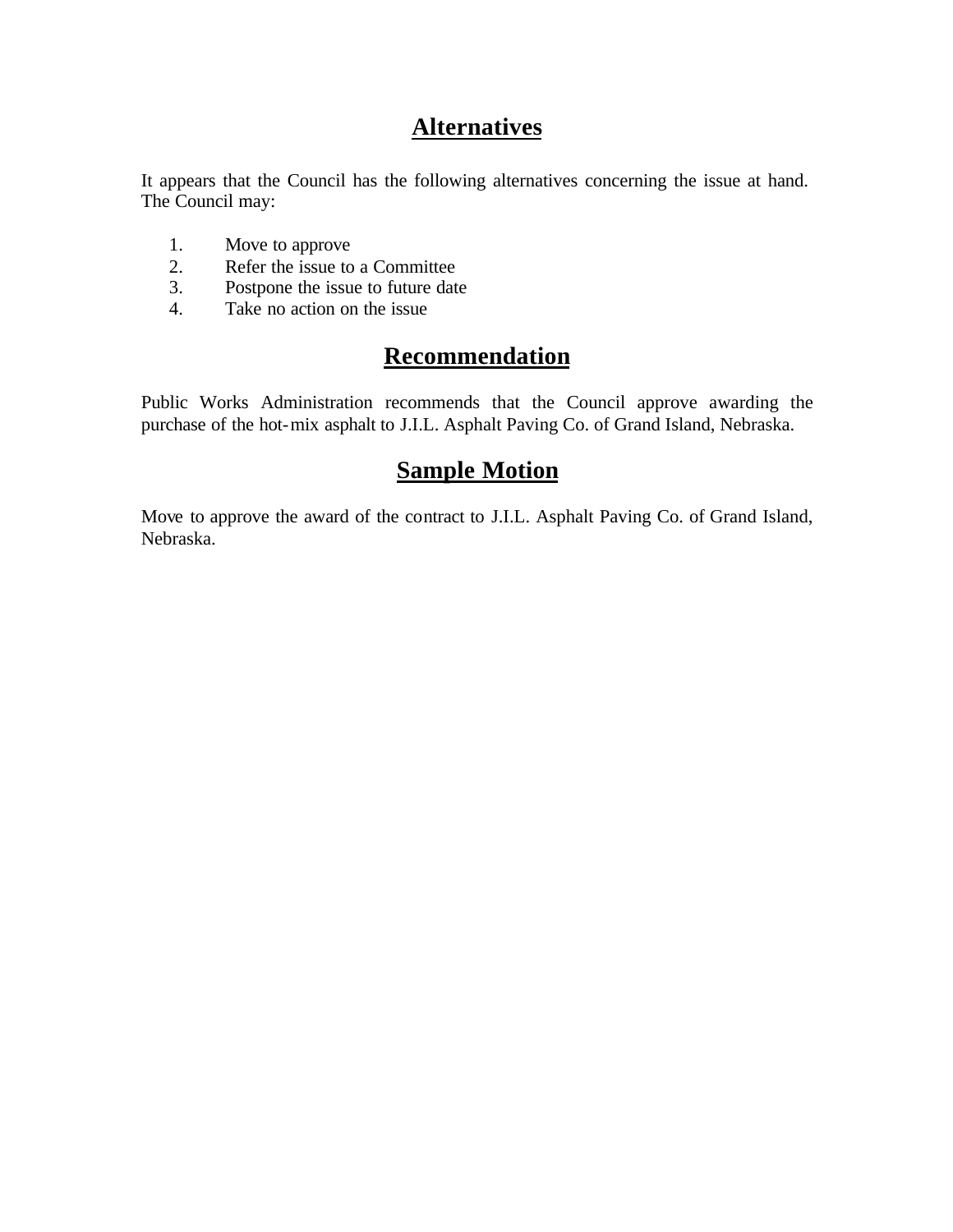## **Alternatives**

It appears that the Council has the following alternatives concerning the issue at hand. The Council may:

- 1. Move to approve
- 2. Refer the issue to a Committee<br>3. Postpone the issue to future date
- Postpone the issue to future date
- 4. Take no action on the issue

## **Recommendation**

Public Works Administration recommends that the Council approve awarding the purchase of the hot-mix asphalt to J.I.L. Asphalt Paving Co. of Grand Island, Nebraska.

### **Sample Motion**

Move to approve the award of the contract to J.I.L. Asphalt Paving Co. of Grand Island, Nebraska.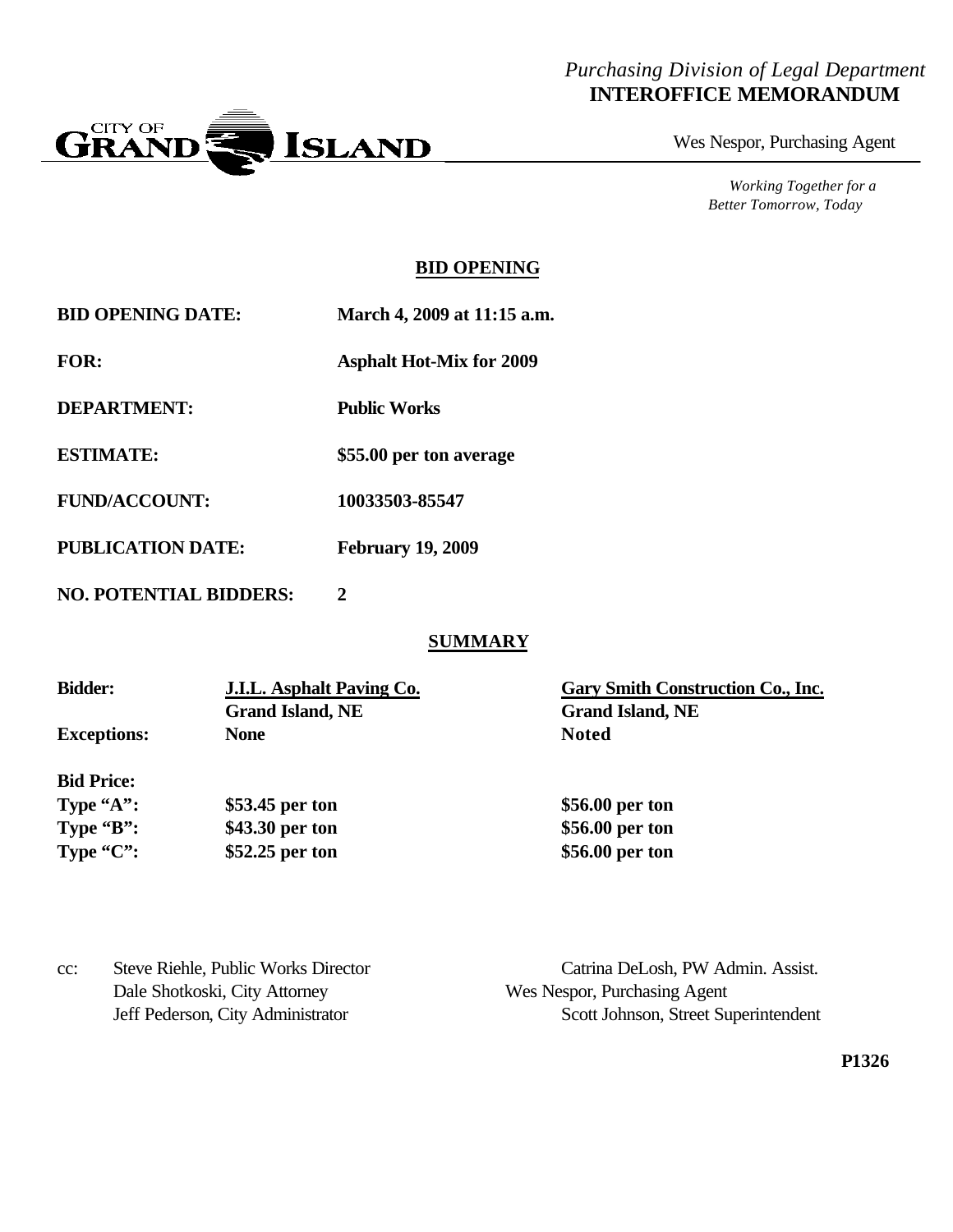#### *Purchasing Division of Legal Department* **INTEROFFICE MEMORANDUM**



Wes Nespor, Purchasing Agent

*Working Together for a Better Tomorrow, Today*

#### **BID OPENING**

| <b>BID OPENING DATE:</b> | March 4, 2009 at 11:15 a.m. |
|--------------------------|-----------------------------|
|--------------------------|-----------------------------|

**FOR: Asphalt Hot-Mix for 2009**

**DEPARTMENT: Public Works**

**ESTIMATE: \$55.00 per ton average**

**FUND/ACCOUNT: 10033503-85547**

**PUBLICATION DATE: February 19, 2009**

**NO. POTENTIAL BIDDERS: 2**

#### **SUMMARY**

| <b>Bidder:</b>     | <b>J.I.L.</b> Asphalt Paving Co. | Gary Smith Construction Co., Inc. |
|--------------------|----------------------------------|-----------------------------------|
|                    | <b>Grand Island, NE</b>          | <b>Grand Island, NE</b>           |
| <b>Exceptions:</b> | <b>None</b>                      | <b>Noted</b>                      |
| <b>Bid Price:</b>  |                                  |                                   |
| Type $A$ ":        | \$53.45 per ton                  | \$56.00 per ton                   |
| Type $B$ :         | \$43.30 per ton                  | \$56.00 per ton                   |
| Type $"C"$ :       | \$52.25 per ton                  | \$56.00 per ton                   |
|                    |                                  |                                   |

| Steve Riehle, Public Works Director<br>cc: | Catrina DeLosh, PW Admin. Assist.    |
|--------------------------------------------|--------------------------------------|
| Dale Shotkoski, City Attorney              | Wes Nespor, Purchasing Agent         |
| Jeff Pederson, City Administrator          | Scott Johnson, Street Superintendent |

**P1326**